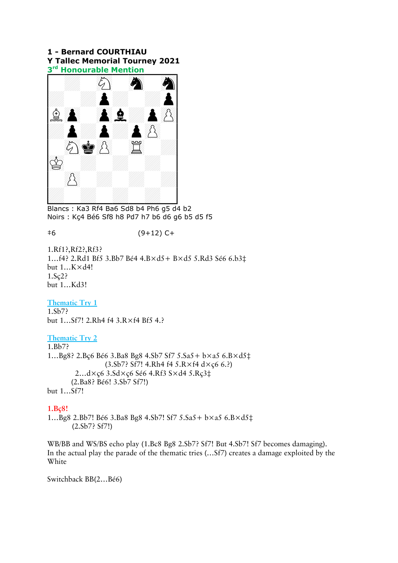## 1 - Bernard COURTHIAU Y Tallec Memorial Tourney 2021 Y Tallec Memorial Tourney 2021<br>3<sup>rd</sup> Honourable Mention



Blancs : Ka3 Rf4 Ba6 Sd8 b4 Ph6 g5 d4 b2 Noirs : Kç4 Bé6 Sf8 h8 Pd7 h7 b6 d6 g6 b5 d5 f5

‡6 (9+12) C+

1.Rf1?,Rf2?,Rf3? 1…f4? 2.Rd1 Bf5 3.Bb7 Bé4 4.B×d5+ B×d5 5.Rd3 Sé6 6.b3‡ but 1…K×d4! 1.Sç2? but 1…Kd3!

Thematic Try 1  $1.5<sub>b7</sub>$ but 1…Sf7! 2.Rh4 f4 3.R×f4 Bf5 4.?

#### Thematic Try 2

1.Bb7? 1…Bg8? 2.Bç6 Bé6 3.Ba8 Bg8 4.Sb7 Sf7 5.Sa5+ b×a5 6.B×d5‡ (3.Sb7? Sf7! 4.Rh4 f4 5.R×f4 d×ç6 6.?) 2…d×ç6 3.Sd×ç6 Sé6 4.Rf3 S×d4 5.Rç3‡ (2.Ba8? Bé6! 3.Sb7 Sf7!) but 1…Sf7!

#### 1.Bç8!

1…Bg8 2.Bb7! Bé6 3.Ba8 Bg8 4.Sb7! Sf7 5.Sa5+ b×a5 6.B×d5‡ (2.Sb7? Sf7!)

WB/BB and WS/BS echo play (1.Bc8 Bg8 2.Sb7? Sf7! But 4.Sb7! Sf7 becomes damaging). In the actual play the parade of the thematic tries (…Sf7) creates a damage exploited by the White

Switchback BB(2…Bé6)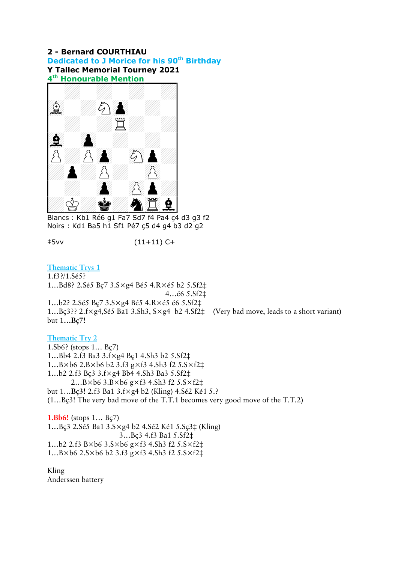### 2 - Bernard COURTHIAU Dedicated to J Morice for his 90<sup>th</sup> Birthday Y Tallec Memorial Tourney 2021 **Y Tallec Memorial Tourney 2021<br>4<sup>th</sup> Honourable Mention**



Blancs : Kb1 Ré6 g1 Fa7 Sd7 f4 Pa4 ç4 d3 g3 f2 Noirs : Kd1 Ba5 h1 Sf1 Pé7 ç5 d4 g4 b3 d2 g2

‡5vv (11+11) C+

Thematic Trys 1

1.f3?/1.Sé5? 1…Bd8? 2.Sé5 Bç7 3.S×g4 Bé5 4.R×é5 b2 5.Sf2‡ 4…é6 5.Sf2‡ 1…b2? 2.Sé5 Bç7 3.S×g4 Bé5 4.R×é5 é6 5.Sf2‡ 1…Bç3?? 2.f×g4,Sé5 Ba1 3.Sh3, S×g4 b2 4.Sf2‡ (Very bad move, leads to a short variant) but 1…Bç7!

Thematic Try 2 1.Sb6? (stops 1… Bç7) 1…Bb4 2.f3 Ba3 3.f×g4 Bç1 4.Sh3 b2 5.Sf2‡ 1…B×b6 2.B×b6 b2 3.f3 g×f3 4.Sh3 f2 5.S×f2‡ 1…b2 2.f3 Bç3 3.f×g4 Bb4 4.Sh3 Ba3 5.Sf2‡ 2…B×b6 3.B×b6 g×f3 4.Sh3 f2 5.S×f2‡ but 1…Bç3! 2.f3 Ba1 3.f×g4 b2 (Kling) 4.Sé2 Ké1 5.? (1…Bç3! The very bad move of the T.T.1 becomes very good move of the T.T.2)

1.Bb6! (stops 1… Bç7) 1…Bç3 2.Sé5 Ba1 3.S×g4 b2 4.Sé2 Ké1 5.Sç3‡ (Kling) 3…Bç3 4.f3 Ba1 5.Sf2‡ 1…b2 2.f3 B×b6 3.S×b6 g×f3 4.Sh3 f2 5.S×f2‡ 1…B×b6 2.S×b6 b2 3.f3 g×f3 4.Sh3 f2 5.S×f2‡

Kling Anderssen battery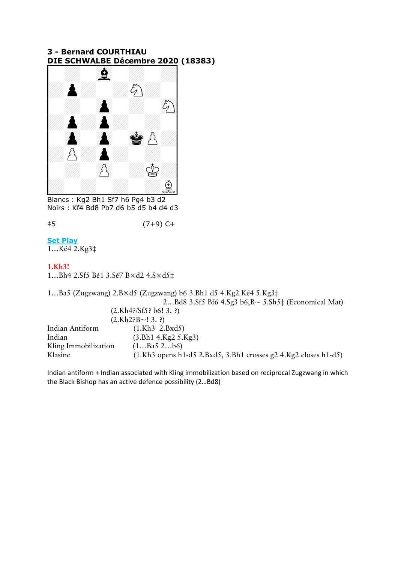## 3 - Bernard COURTHIAU 3 - Bernard COURTHIAU<br><u>DIE SCHWALBE Décembre 2020</u> (18383)



Blancs : Kg2 Bh1 Sf7 h6 Pg4 b3 d2 Noirs : Kf4 Bd8 Pb7 d6 b5 d5 b4 d4 d3

‡5 (7+9) C+

## **Set Play**

1…Ké4 2.Kg3‡

#### 1.Kh3!

1…Bh4 2.Sf5 Bé1 3.Sé7 B×d2 4.S×d5‡

1…Ba5 (Zugzwang) 2.B×d5 (Zugzwang) b6 3.Bh1 d5 4.Kg2 Ké4 5.Kg3‡ 2…Bd8 3.Sf5 Bf6 4.Sg3 b6,B~ 5.Sh5‡ (Economical Mat) (2.Kh4?/Sf5? b6! 3. ?)  $(2.Kh2?B~13.?)$ Indian Antiform (1.Kh3 2.Bxd5) Indian (3.Bh1 4.Kg2 5.Kg3) Kling Immobilization (1...Ba5 2...b6) Klasinc (1.Kh3 opens h1-d5 2.Bxd5, 3.Bh1 crosses g2 4.Kg2 closes h1-d5)

Indian antiform + Indian associated with Kling immobilization based on reciprocal Zugzwang in which the Black Bishop has an active defence possibility (2…Bd8)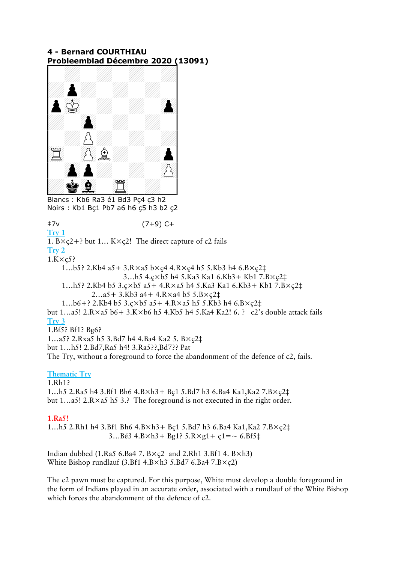## 4 - Bernard COURTHIAU 4 - Bernard COURTHIAU<br><u>Probleemblad Décembre 2020 (</u>13091)



Blancs : Kb6 Ra3 é1 Bd3 Pç4 ç3 h2 Noirs : Kb1 Bç1 Pb7 a6 h6 ç5 h3 b2 ç2

‡7v (7+9) C+

Try 1

1.  $B \times \c{c}2$ +? but 1...  $K \times \c{c}2$ ! The direct capture of c2 fails

Try 2  $1.K \times c5?$ 

 1…b5? 2.Kb4 a5+ 3.R×a5 b×ç4 4.R×ç4 h5 5.Kb3 h4 6.B×ç2‡ 3…h5 4.ç×b5 h4 5.Ka3 Ka1 6.Kb3+ Kb1 7.B×ç2‡ 1…h5? 2.Kb4 b5 3.ç×b5 a5+ 4.R×a5 h4 5.Ka3 Ka1 6.Kb3+ Kb1 7.B×ç2‡ 2…a5+ 3.Kb3 a4+ 4.R×a4 b5 5.B×ç2‡

1…b6+? 2.Kb4 b5 3.ç×b5 a5+ 4.R×a5 h5 5.Kb3 h4 6.B×ç2‡

but 1…a5! 2.R×a5 b6+ 3.K×b6 h5 4.Kb5 h4 5.Ka4 Ka2! 6. ? c2's double attack fails Try 3

1.Bf5? Bf1? Bg6?

1…a5? 2.Rxa5 h5 3.Bd7 h4 4.Ba4 Ka2 5. B×ç2‡ but 1…h5! 2.Bd7,Ra5 h4! 3.Ra5??,Bd7?? Pat

The Try, without a foreground to force the abandonment of the defence of c2, fails.

# Thematic Try

1.Rh1? 1…h5 2.Ra5 h4 3.Bf1 Bh6 4.B×h3+ Bç1 5.Bd7 h3 6.Ba4 Ka1,Ka2 7.B×ç2‡ but 1…a5! 2.R×a5 h5 3.? The foreground is not executed in the right order.

# 1.Ra5!

1…h5 2.Rh1 h4 3.Bf1 Bh6 4.B×h3+ Bç1 5.Bd7 h3 6.Ba4 Ka1,Ka2 7.B×ç2‡ 3...Bé3  $4.B \times h3 + Bg1$ ?  $5.R \times g1 + g1 = ~6.Bf5$ ‡

Indian dubbed (1.Ra5 6.Ba4 7.  $B \times c2$  and 2.Rh1 3.Bf1 4.  $B \times h3$ ) White Bishop rundlauf (3.Bf1  $4.B \times h3 5.Bd7 6.Ba4 7.B \times \c{c2}$ )

The c2 pawn must be captured. For this purpose, White must develop a double foreground in the form of Indians played in an accurate order, associated with a rundlauf of the White Bishop which forces the abandonment of the defence of c2.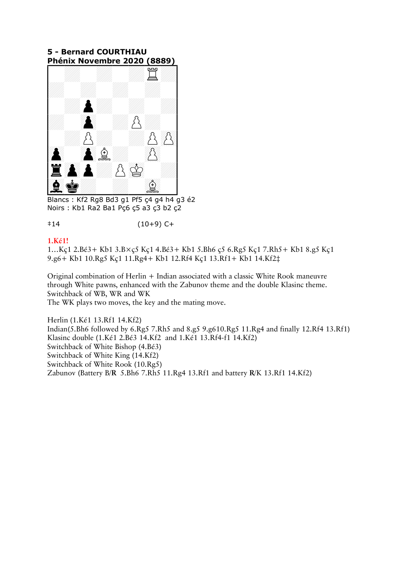# 5 - Bernard COURTHIAU 5 - Bernard COURTHIAU<br><u>Phénix Novembre 2020 (8889)</u>

![](_page_4_Picture_1.jpeg)

Blancs : Kf2 Rg8 Bd3 g1 Pf5 ç4 g4 h4 g3 é2 Noirs : Kb1 Ra2 Ba1 Pç6 ç5 a3 ç3 b2 ç2

‡14 (10+9) C+

#### 1.Ké1!

1…Kç1 2.Bé3+ Kb1 3.B×ç5 Kç1 4.Bé3+ Kb1 5.Bh6 ç5 6.Rg5 Kç1 7.Rh5+ Kb1 8.g5 Kç1 9.g6+ Kb1 10.Rg5 Kç1 11.Rg4+ Kb1 12.Rf4 Kç1 13.Rf1+ Kb1 14.Kf2‡

Original combination of Herlin + Indian associated with a classic White Rook maneuvre through White pawns, enhanced with the Zabunov theme and the double Klasinc theme. Switchback of WB, WR and WK

The WK plays two moves, the key and the mating move.

Herlin (1.Ké1 13.Rf1 14.Kf2) Indian(5.Bh6 followed by 6.Rg5 7.Rh5 and 8.g5 9.g610.Rg5 11.Rg4 and finally 12.Rf4 13.Rf1) Klasinc double (1.Ké1 2.Bé3 14.Kf2 and 1.Ké1 13.Rf4-f1 14.Kf2) Switchback of White Bishop (4.Bé3) Switchback of White King (14.Kf2) Switchback of White Rook (10.Rg5) Zabunov (Battery B/R 5.Bh6 7.Rh5 11.Rg4 13.Rf1 and battery R/K 13.Rf1 14.Kf2)